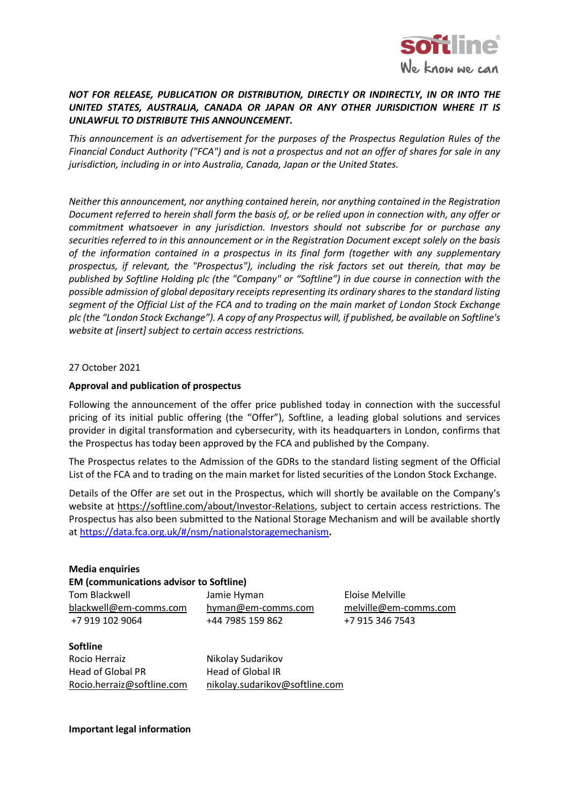

## *NOT FOR RELEASE, PUBLICATION OR DISTRIBUTION, DIRECTLY OR INDIRECTLY, IN OR INTO THE UNITED STATES, AUSTRALIA, CANADA OR JAPAN OR ANY OTHER JURISDICTION WHERE IT IS UNLAWFUL TO DISTRIBUTE THIS ANNOUNCEMENT.*

*This announcement is an advertisement for the purposes of the Prospectus Regulation Rules of the* Financial Conduct Authority ("FCA") and is not a prospectus and not an offer of shares for sale in any *jurisdiction, including in or into Australia, Canada, Japan or the United States.*

*Neither this announcement, nor anything contained herein, nor anything contained in the Registration* Document referred to herein shall form the basis of, or be relied upon in connection with, any offer or *commitment whatsoever in any jurisdiction. Investors should not subscribe for or purchase any securities referred to in this announcement or in the Registration Document except solely on the basis of the information contained in a prospectus in its final form (together with any supplementary prospectus, if relevant, the "Prospectus"), including the risk factors set out therein, that may be published by Softline Holding plc (the "Company" or "Softline") in due course in connection with the possible admission of global depositary receiptsrepresenting its ordinary sharesto the standard listing* segment of the Official List of the FCA and to trading on the main market of London Stock Exchange plc (the "London Stock Exchange"). A copy of any Prospectus will, if published, be available on Softline's *website at [insert] subject to certain access restrictions.*

27 October 2021

## **Approval and publication of prospectus**

Following the announcement of the offer price published today in connection with the successful pricing of its initial public offering (the "Offer"), Softline, a leading global solutions and services provider in digital transformation and cybersecurity, with its headquarters in London, confirms that the Prospectus has today been approved by the FCA and published by the Company.

The Prospectus relates to the Admission of the GDRs to the standard listing segment of the Official List of the FCA and to trading on the main market for listed securities of the London Stock Exchange.

Details of the Offer are set out in the Prospectus, which will shortly be available on the Company's website at [https://softline.com/about/Investor-Relations,](https://softline.com/about/Investor-Relations) subject to certain access restrictions. The Prospectus has also been submitted to the National Storage Mechanism and will be available shortly at <https://data.fca.org.uk/#/nsm/nationalstoragemechanism>**.**

## **Media enquiries EM (communications advisor to Softline)**

[blackwell@em-comms.com](mailto:blackwell@em-comms.com) [hyman@em-comms.com](mailto:hyman@em-comms.com) [melville@em-comms.com](mailto:melville@em-comms.com) +7 919 102 9064 +44 7985 159 862 +7 915 346 7543

Tom Blackwell Jamie Hyman Eloise Melville

**Softline** Rocio Herraiz Nikolay Sudarikov Head of Global PR Head of Global IR

[Rocio.herraiz@softline.com](mailto:Rocio.herraiz@softline.com) [nikolay.sudarikov@softline.com](mailto:nikolay.sudarikov@softline.com)

**Important legal information**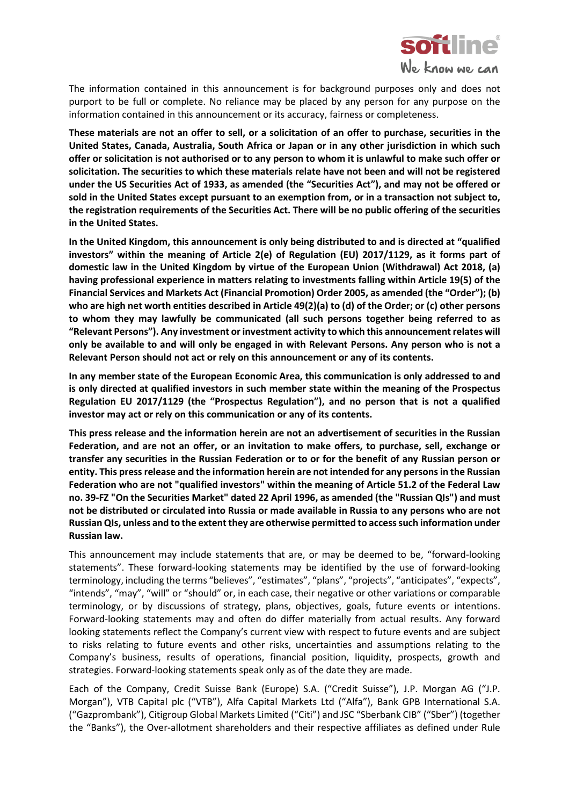

The information contained in this announcement is for background purposes only and does not purport to be full or complete. No reliance may be placed by any person for any purpose on the information contained in this announcement or its accuracy, fairness or completeness.

These materials are not an offer to sell, or a solicitation of an offer to purchase, securities in the **United States, Canada, Australia, South Africa or Japan or in any other jurisdiction in which such** offer or solicitation is not authorised or to any person to whom it is unlawful to make such offer or **solicitation. The securities to which these materials relate have not been and will not be registered under the US Securities Act of 1933, as amended (the "Securities Act"), and may not be offered or** sold in the United States except pursuant to an exemption from, or in a transaction not subject to, **the registration requirements of the Securities Act. There will be no public offering of the securities in the United States.**

**In the United Kingdom, this announcement is only being distributed to and is directed at "qualified investors" within the meaning of Article 2(e) of Regulation (EU) 2017/1129, as it forms part of domestic law in the United Kingdom by virtue of the European Union (Withdrawal) Act 2018, (a) having professional experience in matters relating to investments falling within Article 19(5) of the Financial Services and Markets Act (Financial Promotion) Order 2005, as amended (the "Order"); (b)** who are high net worth entities described in Article 49(2)(a) to (d) of the Order; or (c) other persons **to whom they may lawfully be communicated (all such persons together being referred to as "Relevant Persons"). Any investment or investment activity to which this announcementrelates will** only be available to and will only be engaged in with Relevant Persons. Any person who is not a **Relevant Person should not act or rely on this announcement or any of its contents.**

**In any member state of the European Economic Area, this communication is only addressed to and is only directed at qualified investors in such member state within the meaning of the Prospectus Regulation EU 2017/1129 (the "Prospectus Regulation"), and no person that is not a qualified investor may act or rely on this communication or any of its contents.**

**This press release and the information herein are not an advertisement of securities in the Russian Federation, and are not an offer, or an invitation to make offers, to purchase, sell, exchange or** transfer any securities in the Russian Federation or to or for the benefit of any Russian person or **entity. This pressrelease and the information herein are not intended for any personsin the Russian Federation who are not "qualified investors" within the meaning of Article 51.2 of the Federal Law no. 39-FZ "On the Securities Market" dated 22 April 1996, as amended (the "Russian QIs") and must** not be distributed or circulated into Russia or made available in Russia to any persons who are not **RussianQIs, unless and to the extent they are otherwise permitted to accesssuch information under Russian law.**

This announcement may include statements that are, or may be deemed to be, "forward-looking statements". These forward-looking statements may be identified by the use of forward-looking terminology, including the terms "believes", "estimates", "plans", "projects", "anticipates", "expects", "intends", "may", "will" or "should" or, in each case, their negative or other variations or comparable terminology, or by discussions of strategy, plans, objectives, goals, future events or intentions. Forward-looking statements may and often do differ materially from actual results. Any forward looking statements reflect the Company's current view with respect to future events and are subject to risks relating to future events and other risks, uncertainties and assumptions relating to the Company's business, results of operations, financial position, liquidity, prospects, growth and strategies. Forward-looking statements speak only as of the date they are made.

Each of the Company, Credit Suisse Bank (Europe) S.A. ("Credit Suisse"), J.P. Morgan AG ("J.P. Morgan"), VTB Capital plc ("VTB"), Alfa Capital Markets Ltd ("Alfa"), Bank GPB International S.A. ("Gazprombank"), Citigroup Global Markets Limited ("Citi") and JSC "Sberbank CIB" ("Sber") (together the "Banks"), the Over-allotment shareholders and their respective affiliates as defined under Rule